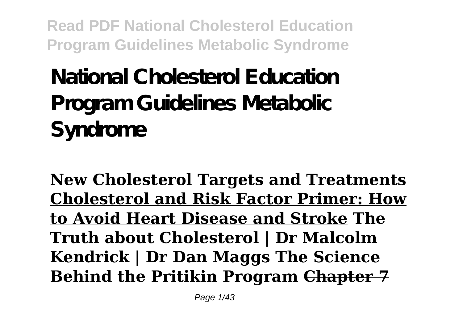**National Cholesterol Education Program Guidelines Metabolic Syndrome**

**New Cholesterol Targets and Treatments Cholesterol and Risk Factor Primer: How to Avoid Heart Disease and Stroke The Truth about Cholesterol | Dr Malcolm Kendrick | Dr Dan Maggs The Science Behind the Pritikin Program Chapter 7**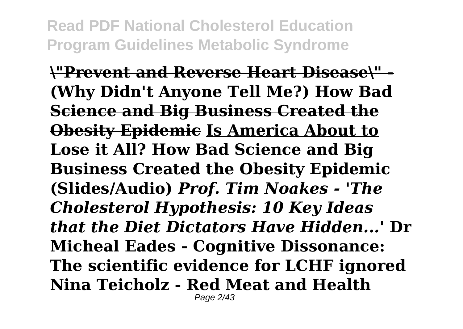**\"Prevent and Reverse Heart Disease\" - (Why Didn't Anyone Tell Me?) How Bad Science and Big Business Created the Obesity Epidemic Is America About to Lose it All? How Bad Science and Big Business Created the Obesity Epidemic (Slides/Audio)** *Prof. Tim Noakes - 'The Cholesterol Hypothesis: 10 Key Ideas that the Diet Dictators Have Hidden...'* **Dr Micheal Eades - Cognitive Dissonance: The scientific evidence for LCHF ignored Nina Teicholz - Red Meat and Health**  Page 2/43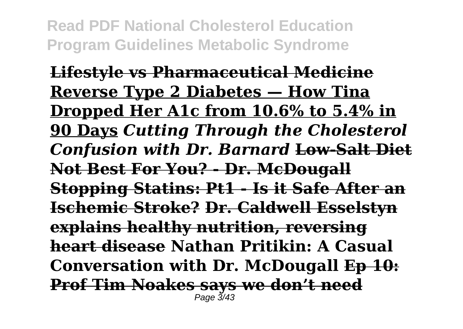**Lifestyle vs Pharmaceutical Medicine Reverse Type 2 Diabetes — How Tina Dropped Her A1c from 10.6% to 5.4% in 90 Days** *Cutting Through the Cholesterol Confusion with Dr. Barnard* **Low-Salt Diet Not Best For You? - Dr. McDougall Stopping Statins: Pt1 - Is it Safe After an Ischemic Stroke? Dr. Caldwell Esselstyn explains healthy nutrition, reversing heart disease Nathan Pritikin: A Casual Conversation with Dr. McDougall Ep 10: Prof Tim Noakes says we don't need** Page 3/43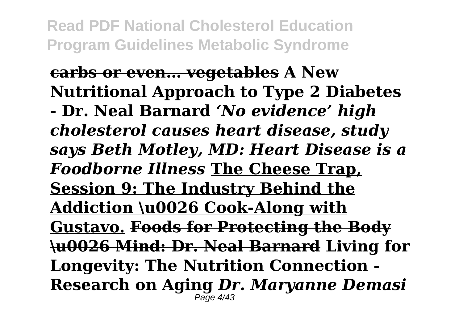#### **carbs or even… vegetables A New Nutritional Approach to Type 2 Diabetes**

**- Dr. Neal Barnard** *'No evidence' high cholesterol causes heart disease, study says Beth Motley, MD: Heart Disease is a Foodborne Illness* **The Cheese Trap, Session 9: The Industry Behind the Addiction \u0026 Cook-Along with Gustavo. Foods for Protecting the Body \u0026 Mind: Dr. Neal Barnard Living for Longevity: The Nutrition Connection - Research on Aging** *Dr. Maryanne Demasi*  $P<sub>2</sub>$ ne  $4/43$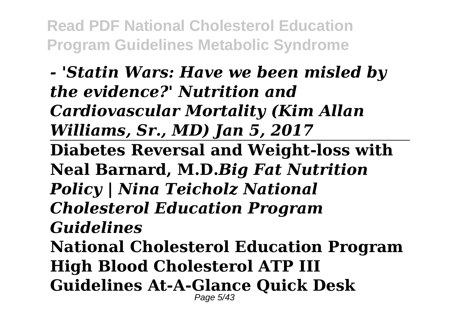*- 'Statin Wars: Have we been misled by the evidence?' Nutrition and Cardiovascular Mortality (Kim Allan Williams, Sr., MD) Jan 5, 2017* **Diabetes Reversal and Weight-loss with Neal Barnard, M.D.***Big Fat Nutrition Policy | Nina Teicholz National Cholesterol Education Program Guidelines* **National Cholesterol Education Program High Blood Cholesterol ATP III Guidelines At-A-Glance Quick Desk** Page 5/43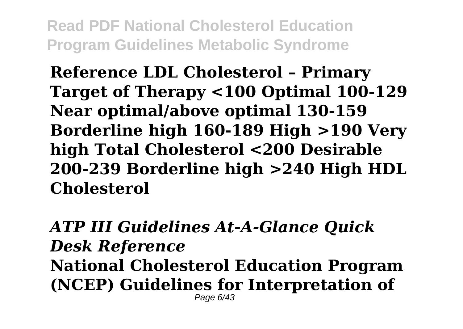**Reference LDL Cholesterol – Primary Target of Therapy <100 Optimal 100-129 Near optimal/above optimal 130-159 Borderline high 160-189 High >190 Very high Total Cholesterol <200 Desirable 200-239 Borderline high >240 High HDL Cholesterol**

*ATP III Guidelines At-A-Glance Quick Desk Reference* **National Cholesterol Education Program (NCEP) Guidelines for Interpretation of** Page 6/43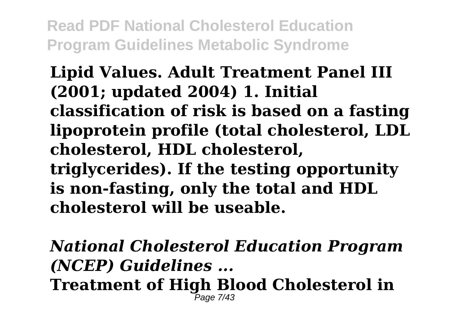## **Lipid Values. Adult Treatment Panel III (2001; updated 2004) 1. Initial classification of risk is based on a fasting lipoprotein profile (total cholesterol, LDL cholesterol, HDL cholesterol, triglycerides). If the testing opportunity is non-fasting, only the total and HDL**

**cholesterol will be useable.**

*National Cholesterol Education Program (NCEP) Guidelines ...* **Treatment of High Blood Cholesterol in** Page 7/43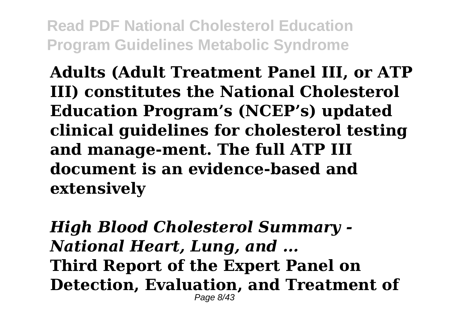**Adults (Adult Treatment Panel III, or ATP III) constitutes the National Cholesterol Education Program's (NCEP's) updated clinical guidelines for cholesterol testing and manage-ment. The full ATP III document is an evidence-based and extensively**

*High Blood Cholesterol Summary - National Heart, Lung, and ...* **Third Report of the Expert Panel on Detection, Evaluation, and Treatment of** Page 8/43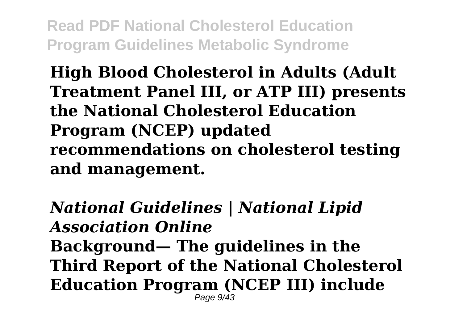**High Blood Cholesterol in Adults (Adult Treatment Panel III, or ATP III) presents the National Cholesterol Education Program (NCEP) updated recommendations on cholesterol testing and management.**

*National Guidelines | National Lipid Association Online* **Background— The guidelines in the Third Report of the National Cholesterol Education Program (NCEP III) include** Page 9/43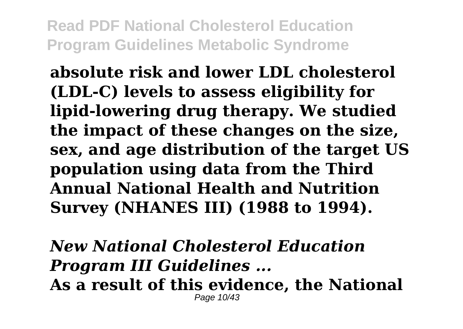**absolute risk and lower LDL cholesterol (LDL-C) levels to assess eligibility for lipid-lowering drug therapy. We studied the impact of these changes on the size, sex, and age distribution of the target US population using data from the Third Annual National Health and Nutrition Survey (NHANES III) (1988 to 1994).**

*New National Cholesterol Education Program III Guidelines ...*

**As a result of this evidence, the National** Page 10/43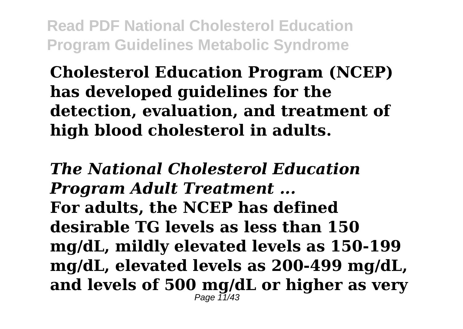**Cholesterol Education Program (NCEP) has developed guidelines for the detection, evaluation, and treatment of high blood cholesterol in adults.**

*The National Cholesterol Education Program Adult Treatment ...* **For adults, the NCEP has defined desirable TG levels as less than 150 mg/dL, mildly elevated levels as 150-199 mg/dL, elevated levels as 200-499 mg/dL, and levels of 500 mg/dL or higher as very** Page 11/43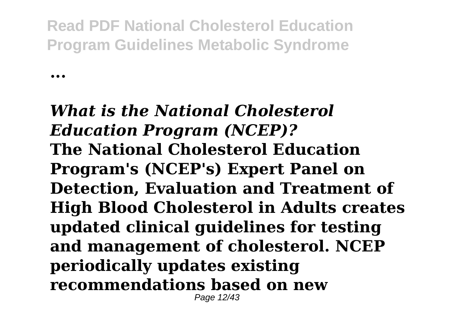**...**

*What is the National Cholesterol Education Program (NCEP)?* **The National Cholesterol Education Program's (NCEP's) Expert Panel on Detection, Evaluation and Treatment of High Blood Cholesterol in Adults creates updated clinical guidelines for testing and management of cholesterol. NCEP periodically updates existing recommendations based on new** Page 12/43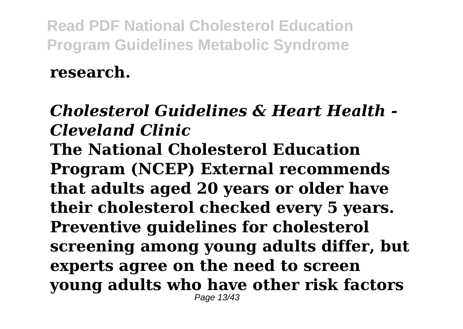### **research.**

### *Cholesterol Guidelines & Heart Health - Cleveland Clinic* **The National Cholesterol Education**

**Program (NCEP) External recommends that adults aged 20 years or older have their cholesterol checked every 5 years. Preventive guidelines for cholesterol screening among young adults differ, but experts agree on the need to screen young adults who have other risk factors** Page 13/43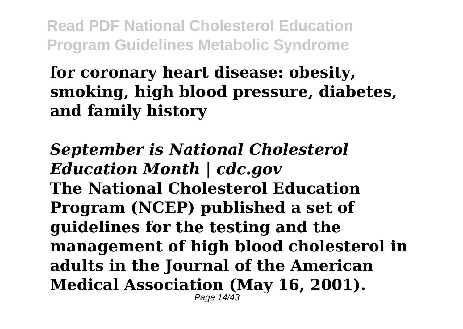## **for coronary heart disease: obesity, smoking, high blood pressure, diabetes, and family history**

*September is National Cholesterol Education Month | cdc.gov* **The National Cholesterol Education Program (NCEP) published a set of guidelines for the testing and the management of high blood cholesterol in adults in the Journal of the American Medical Association (May 16, 2001).** Page 14/43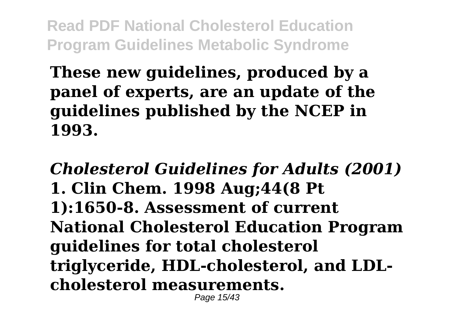## **These new guidelines, produced by a panel of experts, are an update of the guidelines published by the NCEP in 1993.**

*Cholesterol Guidelines for Adults (2001)* **1. Clin Chem. 1998 Aug;44(8 Pt 1):1650-8. Assessment of current National Cholesterol Education Program guidelines for total cholesterol triglyceride, HDL-cholesterol, and LDLcholesterol measurements.** Page 15/43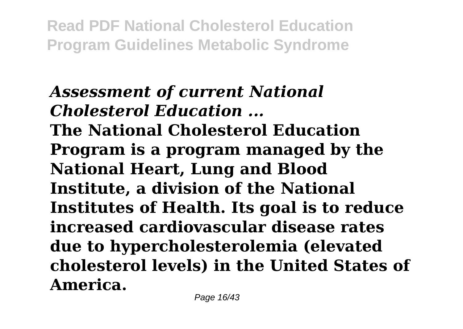*Assessment of current National Cholesterol Education ...* **The National Cholesterol Education Program is a program managed by the National Heart, Lung and Blood Institute, a division of the National Institutes of Health. Its goal is to reduce increased cardiovascular disease rates due to hypercholesterolemia (elevated cholesterol levels) in the United States of America.**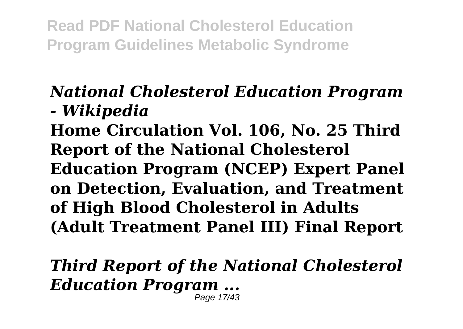### *National Cholesterol Education Program - Wikipedia*

**Home Circulation Vol. 106, No. 25 Third Report of the National Cholesterol Education Program (NCEP) Expert Panel on Detection, Evaluation, and Treatment of High Blood Cholesterol in Adults (Adult Treatment Panel III) Final Report**

*Third Report of the National Cholesterol Education Program ...* Page 17/43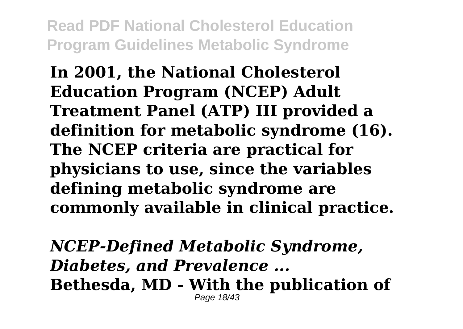**In 2001, the National Cholesterol Education Program (NCEP) Adult Treatment Panel (ATP) III provided a definition for metabolic syndrome (16). The NCEP criteria are practical for physicians to use, since the variables defining metabolic syndrome are commonly available in clinical practice.**

*NCEP-Defined Metabolic Syndrome, Diabetes, and Prevalence ...* **Bethesda, MD - With the publication of** Page 18/43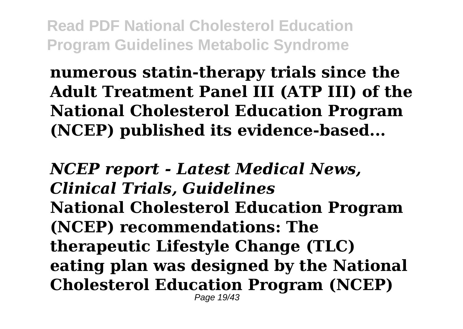**numerous statin-therapy trials since the Adult Treatment Panel III (ATP III) of the National Cholesterol Education Program (NCEP) published its evidence-based...**

*NCEP report - Latest Medical News, Clinical Trials, Guidelines* **National Cholesterol Education Program (NCEP) recommendations: The therapeutic Lifestyle Change (TLC) eating plan was designed by the National Cholesterol Education Program (NCEP)** Page 19/43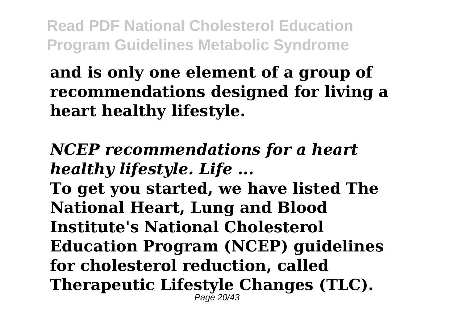## **and is only one element of a group of recommendations designed for living a heart healthy lifestyle.**

## *NCEP recommendations for a heart healthy lifestyle. Life ...*

**To get you started, we have listed The National Heart, Lung and Blood Institute's National Cholesterol Education Program (NCEP) guidelines for cholesterol reduction, called Therapeutic Lifestyle Changes (TLC).** Page 20/43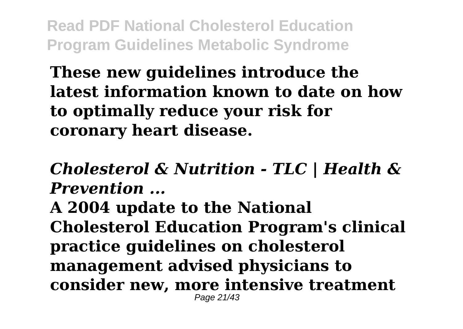**These new guidelines introduce the latest information known to date on how to optimally reduce your risk for coronary heart disease.**

*Cholesterol & Nutrition - TLC | Health & Prevention ...*

**A 2004 update to the National Cholesterol Education Program's clinical practice guidelines on cholesterol management advised physicians to consider new, more intensive treatment** Page 21/43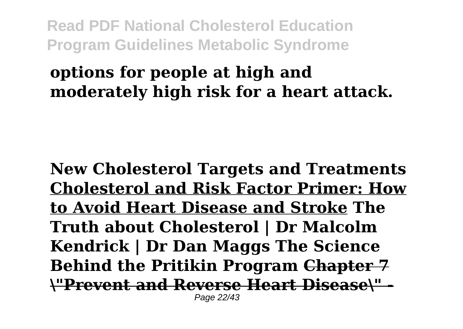### **options for people at high and moderately high risk for a heart attack.**

**New Cholesterol Targets and Treatments Cholesterol and Risk Factor Primer: How to Avoid Heart Disease and Stroke The Truth about Cholesterol | Dr Malcolm Kendrick | Dr Dan Maggs The Science Behind the Pritikin Program Chapter 7 \"Prevent and Reverse Heart Disease\" -** Page 22/43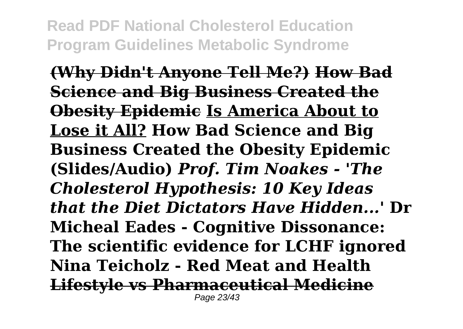**(Why Didn't Anyone Tell Me?) How Bad Science and Big Business Created the Obesity Epidemic Is America About to Lose it All? How Bad Science and Big Business Created the Obesity Epidemic (Slides/Audio)** *Prof. Tim Noakes - 'The Cholesterol Hypothesis: 10 Key Ideas that the Diet Dictators Have Hidden...'* **Dr Micheal Eades - Cognitive Dissonance: The scientific evidence for LCHF ignored Nina Teicholz - Red Meat and Health Lifestyle vs Pharmaceutical Medicine** Page 23/43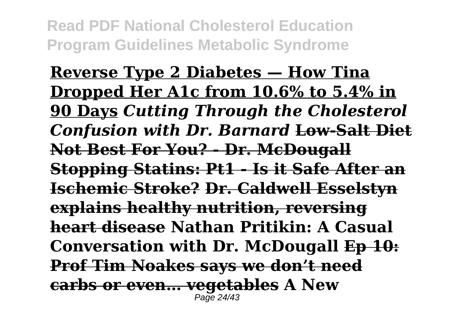**Reverse Type 2 Diabetes — How Tina Dropped Her A1c from 10.6% to 5.4% in 90 Days** *Cutting Through the Cholesterol Confusion with Dr. Barnard* **Low-Salt Diet Not Best For You? - Dr. McDougall Stopping Statins: Pt1 - Is it Safe After an Ischemic Stroke? Dr. Caldwell Esselstyn explains healthy nutrition, reversing heart disease Nathan Pritikin: A Casual Conversation with Dr. McDougall Ep 10: Prof Tim Noakes says we don't need carbs or even… vegetables A New** Page 24/43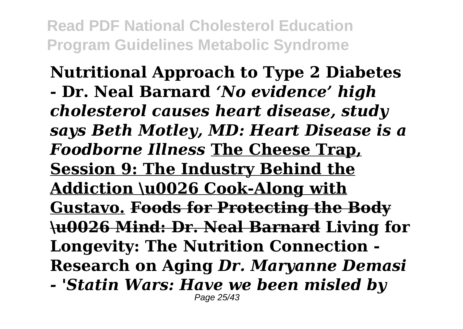**Nutritional Approach to Type 2 Diabetes - Dr. Neal Barnard** *'No evidence' high cholesterol causes heart disease, study says Beth Motley, MD: Heart Disease is a Foodborne Illness* **The Cheese Trap, Session 9: The Industry Behind the Addiction \u0026 Cook-Along with Gustavo. Foods for Protecting the Body \u0026 Mind: Dr. Neal Barnard Living for Longevity: The Nutrition Connection - Research on Aging** *Dr. Maryanne Demasi*

*- 'Statin Wars: Have we been misled by* Page 25/43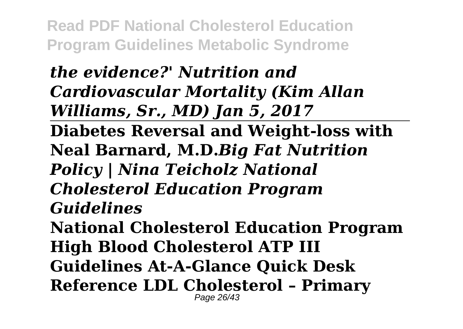*the evidence?' Nutrition and Cardiovascular Mortality (Kim Allan Williams, Sr., MD) Jan 5, 2017* **Diabetes Reversal and Weight-loss with Neal Barnard, M.D.***Big Fat Nutrition Policy | Nina Teicholz National Cholesterol Education Program Guidelines* **National Cholesterol Education Program High Blood Cholesterol ATP III Guidelines At-A-Glance Quick Desk Reference LDL Cholesterol – Primary** Page 26/43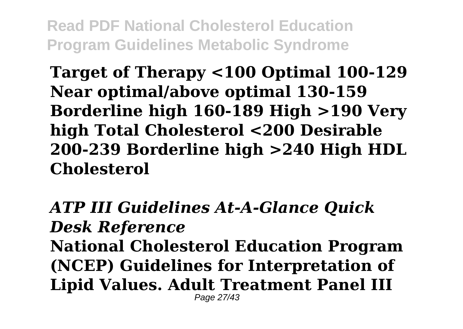**Target of Therapy <100 Optimal 100-129 Near optimal/above optimal 130-159 Borderline high 160-189 High >190 Very high Total Cholesterol <200 Desirable 200-239 Borderline high >240 High HDL Cholesterol**

*ATP III Guidelines At-A-Glance Quick Desk Reference* **National Cholesterol Education Program (NCEP) Guidelines for Interpretation of Lipid Values. Adult Treatment Panel III** Page 27/43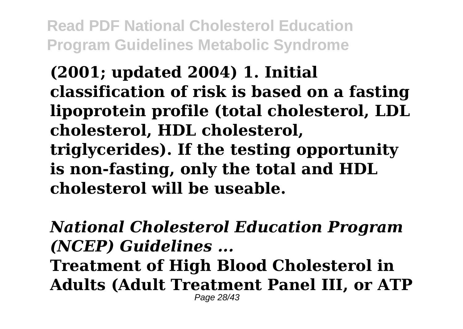**(2001; updated 2004) 1. Initial classification of risk is based on a fasting lipoprotein profile (total cholesterol, LDL cholesterol, HDL cholesterol, triglycerides). If the testing opportunity is non-fasting, only the total and HDL cholesterol will be useable.**

*National Cholesterol Education Program (NCEP) Guidelines ...* **Treatment of High Blood Cholesterol in Adults (Adult Treatment Panel III, or ATP** Page 28/43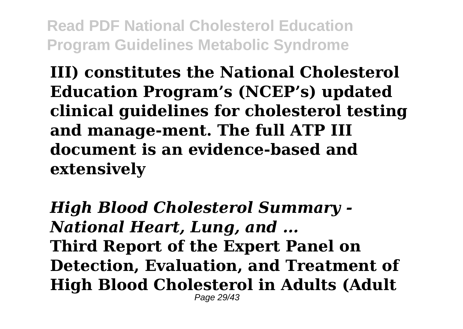**III) constitutes the National Cholesterol Education Program's (NCEP's) updated clinical guidelines for cholesterol testing and manage-ment. The full ATP III document is an evidence-based and extensively**

*High Blood Cholesterol Summary - National Heart, Lung, and ...* **Third Report of the Expert Panel on Detection, Evaluation, and Treatment of High Blood Cholesterol in Adults (Adult** Page 29/43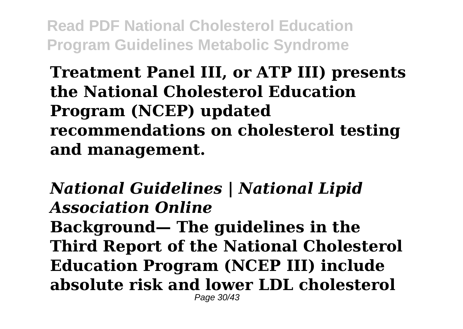### **Treatment Panel III, or ATP III) presents the National Cholesterol Education Program (NCEP) updated recommendations on cholesterol testing and management.**

*National Guidelines | National Lipid Association Online* **Background— The guidelines in the Third Report of the National Cholesterol Education Program (NCEP III) include absolute risk and lower LDL cholesterol** Page 30/43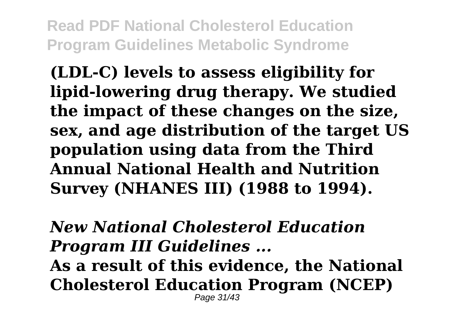**(LDL-C) levels to assess eligibility for lipid-lowering drug therapy. We studied the impact of these changes on the size, sex, and age distribution of the target US population using data from the Third Annual National Health and Nutrition Survey (NHANES III) (1988 to 1994).**

*New National Cholesterol Education Program III Guidelines ...* **As a result of this evidence, the National Cholesterol Education Program (NCEP)** Page 31/43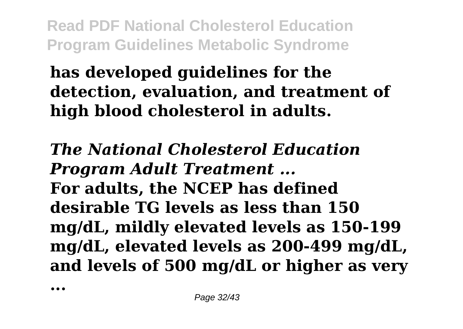# **has developed guidelines for the detection, evaluation, and treatment of high blood cholesterol in adults.**

*The National Cholesterol Education Program Adult Treatment ...* **For adults, the NCEP has defined desirable TG levels as less than 150 mg/dL, mildly elevated levels as 150-199 mg/dL, elevated levels as 200-499 mg/dL, and levels of 500 mg/dL or higher as very**

**...**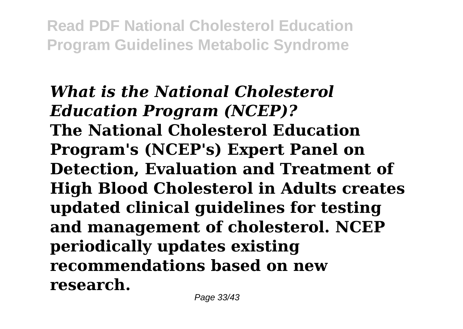*What is the National Cholesterol Education Program (NCEP)?* **The National Cholesterol Education Program's (NCEP's) Expert Panel on Detection, Evaluation and Treatment of High Blood Cholesterol in Adults creates updated clinical guidelines for testing and management of cholesterol. NCEP periodically updates existing recommendations based on new research.**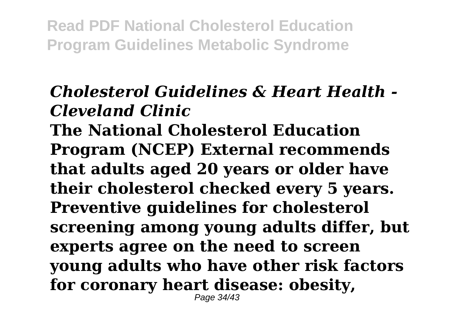# *Cholesterol Guidelines & Heart Health - Cleveland Clinic*

**The National Cholesterol Education Program (NCEP) External recommends that adults aged 20 years or older have their cholesterol checked every 5 years. Preventive guidelines for cholesterol screening among young adults differ, but experts agree on the need to screen young adults who have other risk factors for coronary heart disease: obesity,** Page 34/43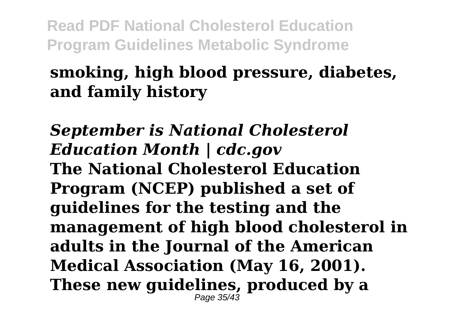## **smoking, high blood pressure, diabetes, and family history**

*September is National Cholesterol Education Month | cdc.gov* **The National Cholesterol Education Program (NCEP) published a set of guidelines for the testing and the management of high blood cholesterol in adults in the Journal of the American Medical Association (May 16, 2001). These new guidelines, produced by a** Page 35/43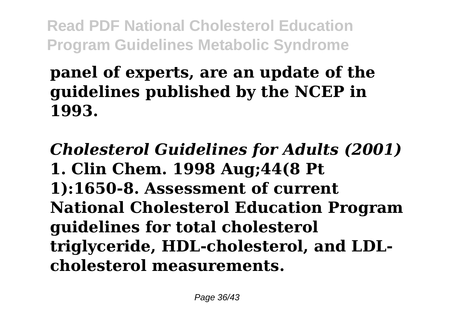# **panel of experts, are an update of the guidelines published by the NCEP in 1993.**

*Cholesterol Guidelines for Adults (2001)* **1. Clin Chem. 1998 Aug;44(8 Pt 1):1650-8. Assessment of current National Cholesterol Education Program guidelines for total cholesterol triglyceride, HDL-cholesterol, and LDLcholesterol measurements.**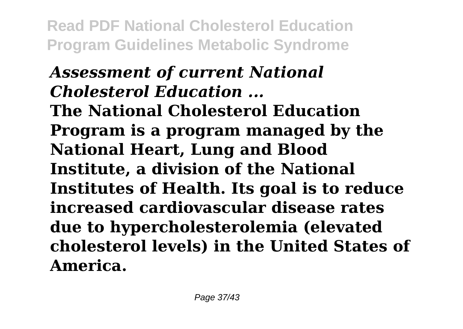*Assessment of current National Cholesterol Education ...* **The National Cholesterol Education Program is a program managed by the National Heart, Lung and Blood Institute, a division of the National Institutes of Health. Its goal is to reduce increased cardiovascular disease rates due to hypercholesterolemia (elevated cholesterol levels) in the United States of America.**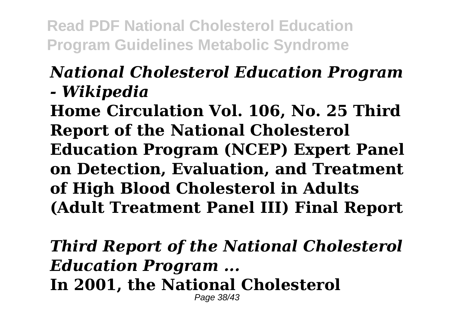### *National Cholesterol Education Program - Wikipedia*

**Home Circulation Vol. 106, No. 25 Third Report of the National Cholesterol Education Program (NCEP) Expert Panel on Detection, Evaluation, and Treatment of High Blood Cholesterol in Adults (Adult Treatment Panel III) Final Report**

*Third Report of the National Cholesterol Education Program ...*

**In 2001, the National Cholesterol** Page 38/43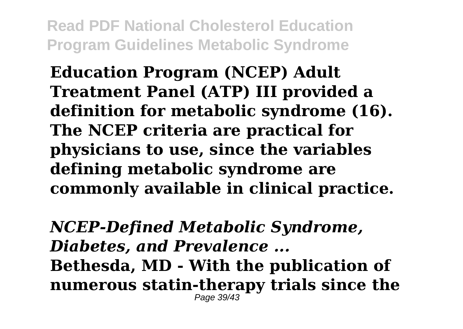**Education Program (NCEP) Adult Treatment Panel (ATP) III provided a definition for metabolic syndrome (16). The NCEP criteria are practical for physicians to use, since the variables defining metabolic syndrome are commonly available in clinical practice.**

*NCEP-Defined Metabolic Syndrome, Diabetes, and Prevalence ...* **Bethesda, MD - With the publication of numerous statin-therapy trials since the** Page 39/43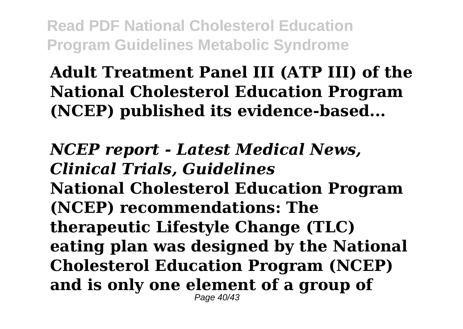## **Adult Treatment Panel III (ATP III) of the National Cholesterol Education Program (NCEP) published its evidence-based...**

*NCEP report - Latest Medical News, Clinical Trials, Guidelines* **National Cholesterol Education Program (NCEP) recommendations: The therapeutic Lifestyle Change (TLC) eating plan was designed by the National Cholesterol Education Program (NCEP) and is only one element of a group of** Page 40/43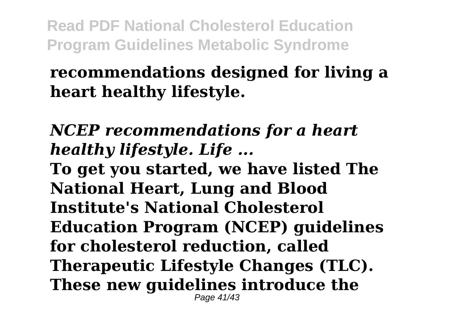### **recommendations designed for living a heart healthy lifestyle.**

### *NCEP recommendations for a heart healthy lifestyle. Life ...*

**To get you started, we have listed The National Heart, Lung and Blood Institute's National Cholesterol Education Program (NCEP) guidelines for cholesterol reduction, called Therapeutic Lifestyle Changes (TLC). These new guidelines introduce the** Page 41/43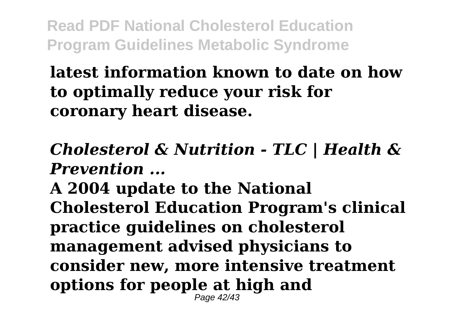### **latest information known to date on how to optimally reduce your risk for coronary heart disease.**

### *Cholesterol & Nutrition - TLC | Health & Prevention ...*

**A 2004 update to the National Cholesterol Education Program's clinical practice guidelines on cholesterol management advised physicians to consider new, more intensive treatment options for people at high and** Page 42/43